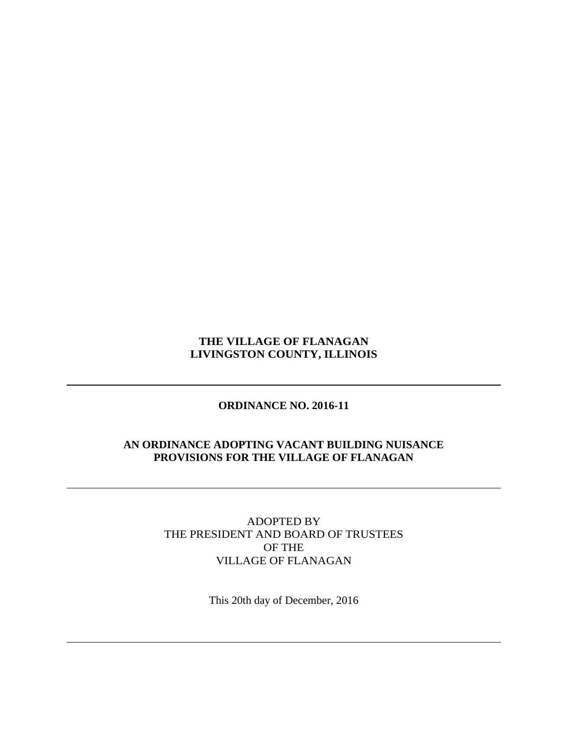## **THE VILLAGE OF FLANAGAN LIVINGSTON COUNTY, ILLINOIS**

# **ORDINANCE NO. 2016-11**

## **AN ORDINANCE ADOPTING VACANT BUILDING NUISANCE PROVISIONS FOR THE VILLAGE OF FLANAGAN**

ADOPTED BY THE PRESIDENT AND BOARD OF TRUSTEES OF THE VILLAGE OF FLANAGAN

This 20th day of December, 2016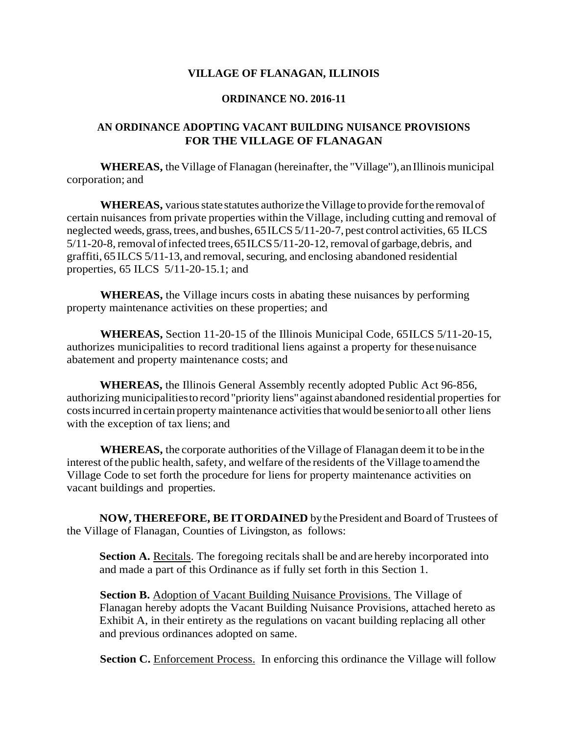#### **VILLAGE OF FLANAGAN, ILLINOIS**

#### **ORDINANCE NO. 2016-11**

## **AN ORDINANCE ADOPTING VACANT BUILDING NUISANCE PROVISIONS FOR THE VILLAGE OF FLANAGAN**

**WHEREAS,** the Village of Flanagan (hereinafter, the "Village"), an Illinois municipal corporation; and

**WHEREAS**, various state statutes authorize the Village to provide for the removal of certain nuisances from private properties within the Village, including cutting and removal of neglected weeds, grass, trees, and bushes, 65 ILCS 5/11-20-7, pest control activities, 65 ILCS 5/11-20-8, removal of infected trees, 65 ILCS 5/11-20-12, removal of garbage, debris, and graffiti, 65 ILCS 5/11-13, and removal,securing, and enclosing abandoned residential properties, 65 ILCS 5/11-20-15.1; and

**WHEREAS,** the Village incurs costs in abating these nuisances by performing property maintenance activities on these properties; and

**WHEREAS,** Section 11-20-15 of the Illinois Municipal Code, 65ILCS 5/11-20-15, authorizes municipalities to record traditional liens against a property for thesenuisance abatement and property maintenance costs; and

**WHEREAS,** the Illinois General Assembly recently adopted Public Act 96-856, authorizing municipalitiesto record"priority liens"against abandoned residential properties for costsincurred incertain property maintenance activitiesthatwould beseniortoall other liens with the exception of tax liens; and

**WHEREAS,** the corporate authorities of the Village of Flanagan deem it to be in the interest of the public health, safety, and welfare of the residents of the Village to amend the Village Code to set forth the procedure for liens for property maintenance activities on vacant buildings and properties.

**NOW, THEREFORE, BE ITORDAINED** bythePresident and Board of Trustees of the Village of Flanagan, Counties of Livingston, as follows:

**Section A.** Recitals. The foregoing recitals shall be and are hereby incorporated into and made a part of this Ordinance as if fully set forth in this Section 1.

**Section B.** Adoption of Vacant Building Nuisance Provisions. The Village of Flanagan hereby adopts the Vacant Building Nuisance Provisions, attached hereto as Exhibit A, in their entirety as the regulations on vacant building replacing all other and previous ordinances adopted on same.

**Section C.** Enforcement Process. In enforcing this ordinance the Village will follow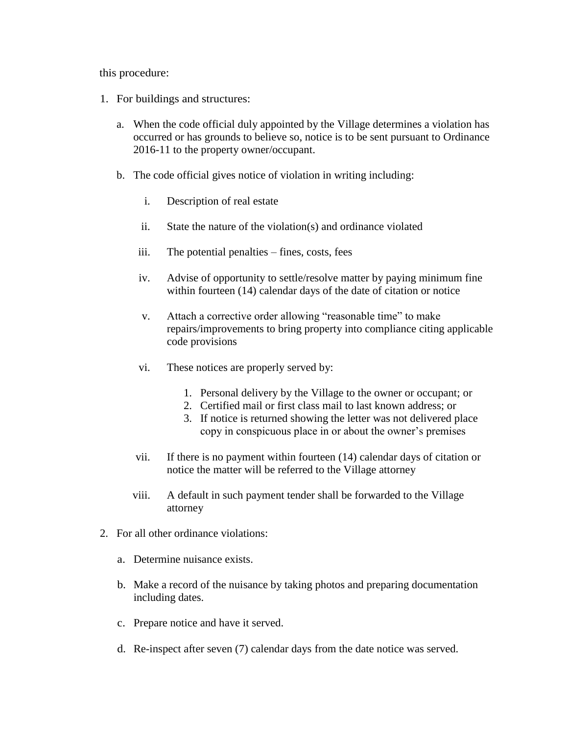this procedure:

- 1. For buildings and structures:
	- a. When the code official duly appointed by the Village determines a violation has occurred or has grounds to believe so, notice is to be sent pursuant to Ordinance 2016-11 to the property owner/occupant.
	- b. The code official gives notice of violation in writing including:
		- i. Description of real estate
		- ii. State the nature of the violation(s) and ordinance violated
		- iii. The potential penalties fines, costs, fees
		- iv. Advise of opportunity to settle/resolve matter by paying minimum fine within fourteen (14) calendar days of the date of citation or notice
		- v. Attach a corrective order allowing "reasonable time" to make repairs/improvements to bring property into compliance citing applicable code provisions
		- vi. These notices are properly served by:
			- 1. Personal delivery by the Village to the owner or occupant; or
			- 2. Certified mail or first class mail to last known address; or
			- 3. If notice is returned showing the letter was not delivered place copy in conspicuous place in or about the owner's premises
		- vii. If there is no payment within fourteen (14) calendar days of citation or notice the matter will be referred to the Village attorney
		- viii. A default in such payment tender shall be forwarded to the Village attorney
- 2. For all other ordinance violations:
	- a. Determine nuisance exists.
	- b. Make a record of the nuisance by taking photos and preparing documentation including dates.
	- c. Prepare notice and have it served.
	- d. Re-inspect after seven (7) calendar days from the date notice was served.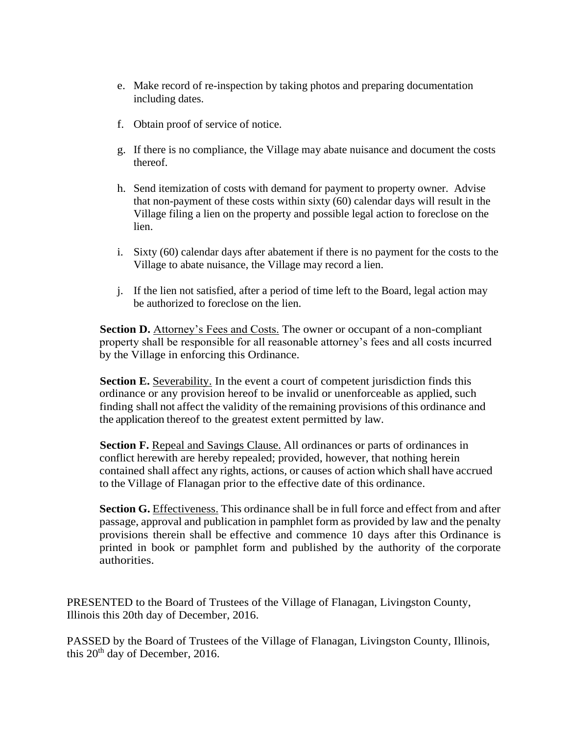- e. Make record of re-inspection by taking photos and preparing documentation including dates.
- f. Obtain proof of service of notice.
- g. If there is no compliance, the Village may abate nuisance and document the costs thereof.
- h. Send itemization of costs with demand for payment to property owner. Advise that non-payment of these costs within sixty (60) calendar days will result in the Village filing a lien on the property and possible legal action to foreclose on the lien.
- i. Sixty (60) calendar days after abatement if there is no payment for the costs to the Village to abate nuisance, the Village may record a lien.
- j. If the lien not satisfied, after a period of time left to the Board, legal action may be authorized to foreclose on the lien.

**Section D.** Attorney's Fees and Costs. The owner or occupant of a non-compliant property shall be responsible for all reasonable attorney's fees and all costs incurred by the Village in enforcing this Ordinance.

**Section E.** Severability. In the event a court of competent jurisdiction finds this ordinance or any provision hereof to be invalid or unenforceable as applied, such finding shall not affect the validity of the remaining provisions of this ordinance and the application thereof to the greatest extent permitted by law.

**Section F.** Repeal and Savings Clause. All ordinances or parts of ordinances in conflict herewith are hereby repealed; provided, however, that nothing herein contained shall affect any rights, actions, or causes of action which shall have accrued to the Village of Flanagan prior to the effective date of this ordinance.

Section G. **Effectiveness**. This ordinance shall be in full force and effect from and after passage, approval and publication in pamphlet form as provided by law and the penalty provisions therein shall be effective and commence 10 days after this Ordinance is printed in book or pamphlet form and published by the authority of the corporate authorities.

PRESENTED to the Board of Trustees of the Village of Flanagan, Livingston County, Illinois this 20th day of December, 2016.

PASSED by the Board of Trustees of the Village of Flanagan, Livingston County, Illinois, this 20<sup>th</sup> day of December, 2016.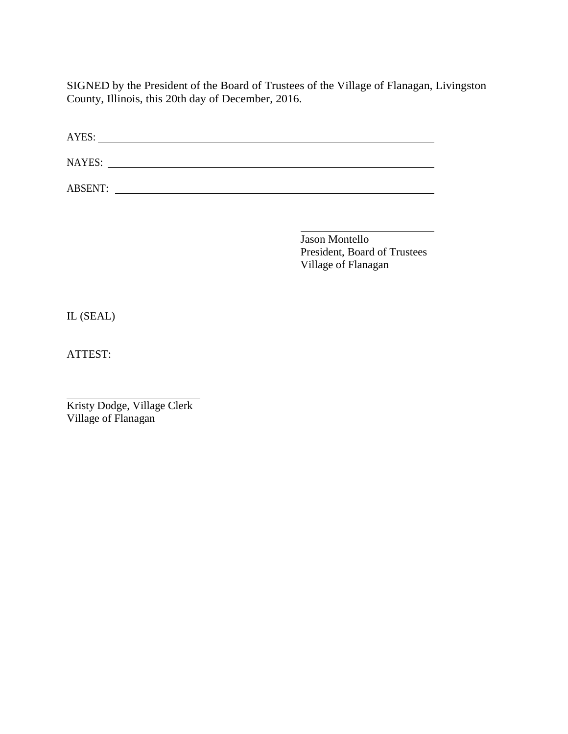SIGNED by the President of the Board of Trustees of the Village of Flanagan, Livingston County, Illinois, this 20th day of December, 2016.

| AYES:          |  |  |
|----------------|--|--|
| NAYES:         |  |  |
| <b>ABSENT:</b> |  |  |

Jason Montello President, Board of Trustees Village of Flanagan

 $\overline{\phantom{0}}$ 

IL (SEAL)

ATTEST:

Kristy Dodge, Village Clerk Village of Flanagan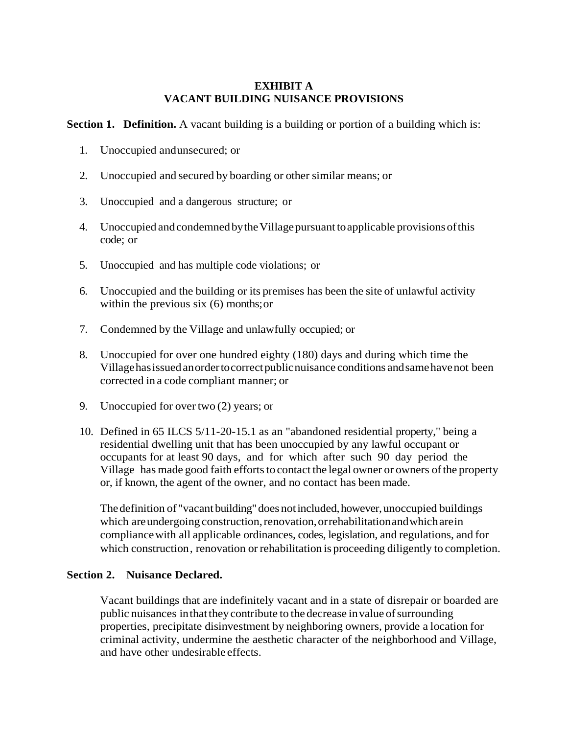#### **EXHIBIT A VACANT BUILDING NUISANCE PROVISIONS**

**Section 1. Definition.** A vacant building is a building or portion of a building which is:

- 1. Unoccupied andunsecured; or
- 2. Unoccupied and secured by boarding or other similar means; or
- 3. Unoccupied and a dangerous structure; or
- 4. Unoccupied and condemned by the Village pursuant to applicable provisions of this code; or
- 5. Unoccupied and has multiple code violations; or
- 6. Unoccupied and the building or its premises has been the site of unlawful activity within the previous six (6) months; or
- 7. Condemned by the Village and unlawfully occupied; or
- 8. Unoccupied for over one hundred eighty (180) days and during which time the Villagehasissuedanordertocorrectpublicnuisance conditions andsamehavenot been corrected in a code compliant manner; or
- 9. Unoccupied for overtwo (2) years; or
- 10. Defined in 65 ILCS 5/11-20-15.1 as an "abandoned residential property," being a residential dwelling unit that has been unoccupied by any lawful occupant or occupants for at least 90 days, and for which after such 90 day period the Village has made good faith efforts to contact the legal owner or owners of the property or, if known, the agent of the owner, and no contact has been made.

The definition of "vacant building" does not included, however, unoccupied buildings which are undergoing construction, renovation, orrehabilitation and which are in compliancewith all applicable ordinances, codes, legislation, and regulations, and for which construction, renovation or rehabilitation is proceeding diligently to completion.

#### **Section 2. Nuisance Declared.**

Vacant buildings that are indefinitely vacant and in a state of disrepair or boarded are public nuisances in that they contribute to the decrease in value of surrounding properties, precipitate disinvestment by neighboring owners, provide a location for criminal activity, undermine the aesthetic character of the neighborhood and Village, and have other undesirable effects.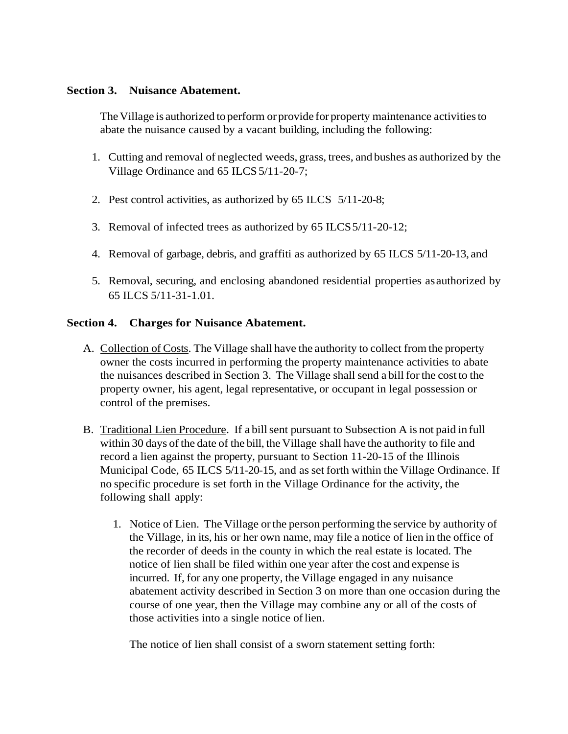#### **Section 3. Nuisance Abatement.**

The Village is authorized to perform or provide for property maintenance activities to abate the nuisance caused by a vacant building, including the following:

- 1. Cutting and removal of neglected weeds, grass, trees, and bushes as authorized by the Village Ordinance and 65 ILCS 5/11-20-7;
- 2. Pest control activities, as authorized by 65 ILCS 5/11-20-8;
- 3. Removal of infected trees as authorized by 65 ILCS5/11-20-12;
- 4. Removal of garbage, debris, and graffiti as authorized by 65 ILCS 5/11-20-13, and
- 5. Removal, securing, and enclosing abandoned residential properties asauthorized by 65 ILCS 5/11-31-1.01.

## **Section 4. Charges for Nuisance Abatement.**

- A. Collection of Costs. The Village shall have the authority to collect from the property owner the costs incurred in performing the property maintenance activities to abate the nuisances described in Section 3. The Village shall send a bill for the cost to the property owner, his agent, legal representative, or occupant in legal possession or control of the premises.
- B. Traditional Lien Procedure. If a bill sent pursuant to Subsection A is not paid in full within 30 days of the date of the bill, the Village shall have the authority to file and record a lien against the property, pursuant to Section 11-20-15 of the Illinois Municipal Code, 65 ILCS 5/11-20-15, and as set forth within the Village Ordinance. If no specific procedure is set forth in the Village Ordinance for the activity, the following shall apply:
	- 1. Notice of Lien. The Village orthe person performing the service by authority of the Village, in its, his or her own name, may file a notice of lien in the office of the recorder of deeds in the county in which the real estate is located. The notice of lien shall be filed within one year after the cost and expense is incurred. If, for any one property, the Village engaged in any nuisance abatement activity described in Section 3 on more than one occasion during the course of one year, then the Village may combine any or all of the costs of those activities into a single notice of lien.

The notice of lien shall consist of a sworn statement setting forth: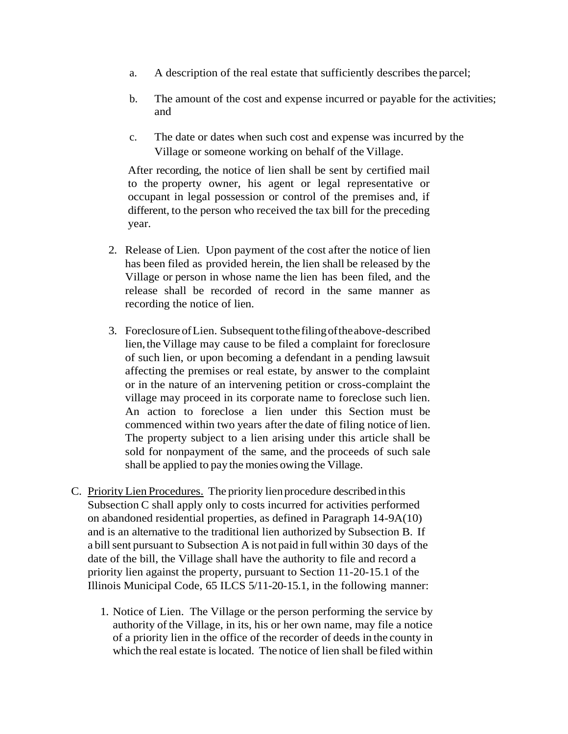- a. A description of the real estate that sufficiently describes the parcel;
- b. The amount of the cost and expense incurred or payable for the activities; and
- c. The date or dates when such cost and expense was incurred by the Village or someone working on behalf of the Village.

After recording, the notice of lien shall be sent by certified mail to the property owner, his agent or legal representative or occupant in legal possession or control of the premises and, if different, to the person who received the tax bill for the preceding year.

- 2. Release of Lien. Upon payment of the cost after the notice of lien has been filed as provided herein, the lien shall be released by the Village or person in whose name the lien has been filed, and the release shall be recorded of record in the same manner as recording the notice of lien.
- 3. Foreclosure ofLien. Subsequent tothefilingoftheabove-described lien, the Village may cause to be filed a complaint for foreclosure of such lien, or upon becoming a defendant in a pending lawsuit affecting the premises or real estate, by answer to the complaint or in the nature of an intervening petition or cross-complaint the village may proceed in its corporate name to foreclose such lien. An action to foreclose a lien under this Section must be commenced within two years after the date of filing notice of lien. The property subject to a lien arising under this article shall be sold for nonpayment of the same, and the proceeds of such sale shall be applied to pay the monies owing the Village.
- C. Priority Lien Procedures. The priority lienprocedure describedinthis Subsection C shall apply only to costs incurred for activities performed on abandoned residential properties, as defined in Paragraph 14-9A(10) and is an alternative to the traditional lien authorized by Subsection B. If a billsent pursuant to Subsection A is not paid in fullwithin 30 days of the date of the bill, the Village shall have the authority to file and record a priority lien against the property, pursuant to Section 11-20-15.1 of the Illinois Municipal Code, 65 ILCS 5/11-20-15.1, in the following manner:
	- 1. Notice of Lien. The Village or the person performing the service by authority of the Village, in its, his or her own name, may file a notice of a priority lien in the office of the recorder of deeds in the county in which the real estate is located. The notice of lien shall be filed within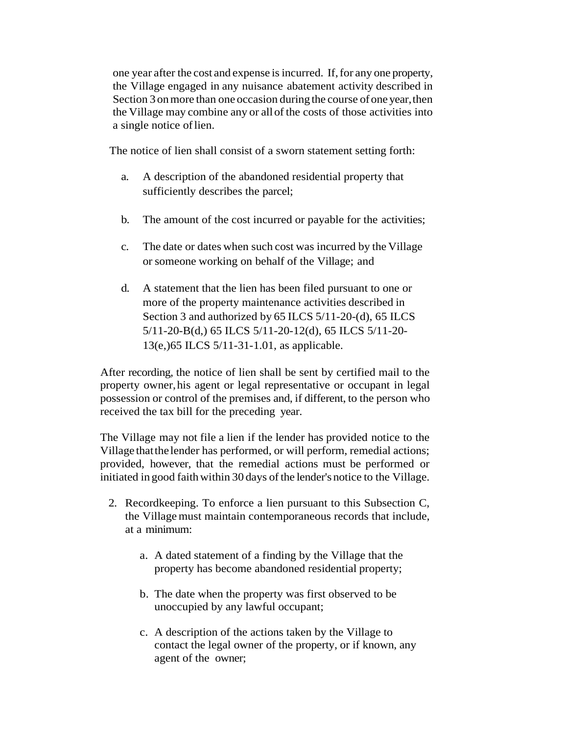one year after the cost and expense isincurred. If,for any one property, the Village engaged in any nuisance abatement activity described in Section 3 on more than one occasion during the course of one year, then the Village may combine any or allof the costs of those activities into a single notice oflien.

The notice of lien shall consist of a sworn statement setting forth:

- a. A description of the abandoned residential property that sufficiently describes the parcel;
- b. The amount of the cost incurred or payable for the activities;
- c. The date or dates when such cost was incurred by the Village or someone working on behalf of the Village; and
- d. A statement that the lien has been filed pursuant to one or more of the property maintenance activities described in Section 3 and authorized by 65 ILCS 5/11-20-(d), 65 ILCS 5/11-20-B(d,) 65 ILCS 5/11-20-12(d), 65 ILCS 5/11-20- 13(e,)65 ILCS 5/11-31-1.01, as applicable.

After recording, the notice of lien shall be sent by certified mail to the property owner,his agent or legal representative or occupant in legal possession or control of the premises and, if different, to the person who received the tax bill for the preceding year.

The Village may not file a lien if the lender has provided notice to the Village thatthe lender has performed, or will perform, remedial actions; provided, however, that the remedial actions must be performed or initiated in good faith within 30 days of the lender's notice to the Village.

- 2. Recordkeeping. To enforce a lien pursuant to this Subsection C, the Villagemust maintain contemporaneous records that include, at a minimum:
	- a. A dated statement of a finding by the Village that the property has become abandoned residential property;
	- b. The date when the property was first observed to be unoccupied by any lawful occupant;
	- c. A description of the actions taken by the Village to contact the legal owner of the property, or if known, any agent of the owner;